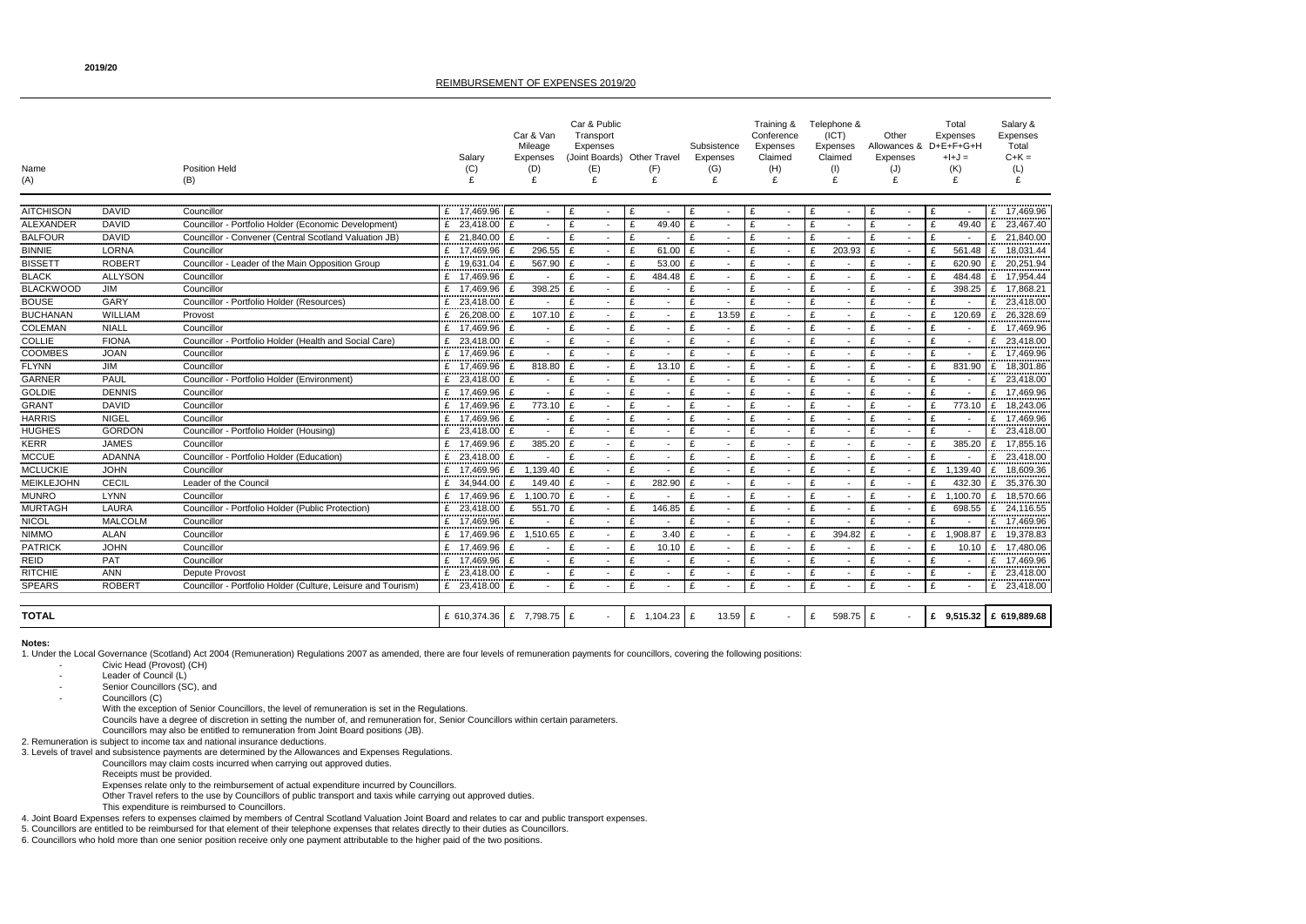| Name<br>(A)       |                | <b>Position Held</b><br>(B)                                  | Salary<br>(C)                 | Car & Van<br>Mileage<br>Expenses<br>(D)<br>£ | Car & Public<br>Transport<br>Expenses<br>(Joint Boards) Other Travel<br>(E)<br>£ | (F)<br>£       | Subsistence<br>Expenses<br>(G)<br>£ | Training &<br>Conference<br>Expenses<br>Claimed<br>(H)<br>£ | Telephone &<br>(ICT)<br>Expenses<br>Claimed<br>(1) | Other<br><b>Expenses</b><br>(J) | Total<br>Expenses<br>Allowances & D+E+F+G+H<br>$+I+J =$<br>(K)<br>£ | Salary &<br>Expenses<br>Total<br>$C+K =$<br>(L)<br>£ |
|-------------------|----------------|--------------------------------------------------------------|-------------------------------|----------------------------------------------|----------------------------------------------------------------------------------|----------------|-------------------------------------|-------------------------------------------------------------|----------------------------------------------------|---------------------------------|---------------------------------------------------------------------|------------------------------------------------------|
| <b>AITCHISON</b>  | <b>DAVID</b>   | Councillor                                                   | £ 17,469.96                   | £                                            | £                                                                                |                | £                                   |                                                             | £                                                  |                                 | £                                                                   | £<br>17,469.96                                       |
| <b>ALEXANDER</b>  | <b>DAVID</b>   | Councillor - Portfolio Holder (Economic Development)         | £ 23,418.00                   | £                                            | £                                                                                | £<br>49.40     | £                                   | £                                                           | £                                                  |                                 | £<br>49.40                                                          | 23,467.40<br>£                                       |
| <b>BALFOUR</b>    | <b>DAVID</b>   | Councillor - Convener (Central Scotland Valuation JB)        | £ 21,840.00                   | £<br>$\sim$                                  | £                                                                                | £              | £<br>$\overline{\phantom{a}}$       | £                                                           | £                                                  | $\blacksquare$                  | £                                                                   | £<br>21,840.00                                       |
| <b>BINNIE</b>     | <b>LORNA</b>   | Councillor                                                   | £ 17,469.96                   | 296.55<br>ှင                                 | £                                                                                | 61.00<br>£     | £                                   | £                                                           | 203.93<br>£                                        | $\blacksquare$                  | £<br>561.48                                                         | 18,031.44<br>£                                       |
| <b>BISSETT</b>    | <b>ROBERT</b>  | Councillor - Leader of the Main Opposition Group             | £ 19,631.04                   | 567.90                                       | £                                                                                | 53.00<br>£     | £                                   | £                                                           | £                                                  |                                 | 620.90<br>£                                                         | 20,251.94<br>£                                       |
| <b>BLACK</b>      | <b>ALLYSON</b> | Councillor                                                   | £ 17,469.96                   |                                              | £                                                                                | 484.48         |                                     | £                                                           | £                                                  |                                 | 484.48                                                              | 17,954.44<br>£                                       |
| <b>BLACKWOOD</b>  | JIM            | Councillor                                                   | £ 17,469.96                   | 398.25<br>ှင                                 | £                                                                                |                | £                                   | £                                                           | £                                                  |                                 | 398.25<br>£                                                         | 17,868.21<br>£                                       |
| <b>BOUSE</b>      | GARY           | Councillor - Portfolio Holder (Resources)                    | £ 23,418.00                   | £                                            | £                                                                                | £              | £                                   | £                                                           | £                                                  |                                 | £                                                                   | 23,418.00<br>£                                       |
| <b>BUCHANAN</b>   | <b>WILLIAM</b> | Provost                                                      | £ 26,208.00                   | 107.10                                       | £                                                                                |                | 13.59<br>£                          | £                                                           | £                                                  | $\blacksquare$                  | 120.69<br>£                                                         | 26,328.69<br>£                                       |
| <b>COLEMAN</b>    | <b>NIALL</b>   | Councillor                                                   | £ 17,469.96                   | £                                            | £                                                                                | £              | £                                   | £                                                           | £                                                  |                                 | £                                                                   | 17,469.96<br>£                                       |
| <b>COLLIE</b>     | <b>FIONA</b>   | Councillor - Portfolio Holder (Health and Social Care)       | £ 23,418.00                   | £<br>$\sim$                                  | £                                                                                |                | £<br>$\sim$                         | £                                                           | £                                                  | $\overline{\phantom{a}}$        | £                                                                   | £<br>23,418.00                                       |
| <b>COOMBES</b>    | <b>JOAN</b>    | Councillor                                                   | £ 17,469.96                   | £                                            | £                                                                                |                | £                                   | £                                                           | £                                                  |                                 | £                                                                   | £<br>17,469.96                                       |
| <b>FLYNN</b>      | JIM            | Councillor                                                   | £ 17,469.96                   | 818.80                                       | £                                                                                | 13.10<br>£     | £                                   | £                                                           | £                                                  |                                 | 831.90<br>£                                                         | £<br>18,301.86                                       |
| <b>GARNER</b>     | <b>PAUL</b>    | Councillor - Portfolio Holder (Environment)                  | £ 23,418.00                   | £<br>$\sim$                                  | £                                                                                | £              | £<br>$\overline{\phantom{a}}$       | £                                                           | £                                                  | £                               | £                                                                   | 23,418.00<br>£                                       |
| <b>GOLDIE</b>     | <b>DENNIS</b>  | Councillor                                                   | £ 17,469.96                   | £                                            | £                                                                                |                | £                                   | £                                                           | £                                                  |                                 | £                                                                   | 17,469.96<br>£                                       |
| <b>GRANT</b>      | <b>DAVID</b>   | Councillor                                                   | £ 17,469.96                   | 773.10                                       | £                                                                                |                | £                                   | £                                                           | £                                                  |                                 | 773.10<br>£                                                         | 18,243.06<br>£                                       |
| <b>HARRIS</b>     | <b>NIGEL</b>   | Councillor                                                   | £ 17,469.96                   | $\sim$                                       |                                                                                  |                | £                                   | £                                                           | £                                                  |                                 |                                                                     | 17,469.96<br>£                                       |
| <b>HUGHES</b>     | <b>GORDON</b>  | Councillor - Portfolio Holder (Housing)                      | £<br>23,418.00                | £                                            | £                                                                                | £              | £                                   | £                                                           | £                                                  |                                 | $\mathbf{f}$                                                        | 23,418.00<br>£                                       |
| <b>KERR</b>       | <b>JAMES</b>   | Councillor                                                   | £ 17,469.96                   | 385.20                                       | £                                                                                | £              | £                                   | £                                                           | £                                                  |                                 | 385.20<br>£                                                         | 17,855.16                                            |
| <b>MCCUE</b>      | <b>ADANNA</b>  | Councillor - Portfolio Holder (Education)                    | £ 23,418.00                   | £                                            | £                                                                                | £              | £<br>$\sim$                         | £                                                           | £                                                  | $\overline{\phantom{a}}$        | £                                                                   | 23,418.00<br>£                                       |
| <b>MCLUCKIE</b>   | <b>JOHN</b>    | Councillor                                                   | 17,469.96                     | 1,139.40<br>£                                | £                                                                                |                | £                                   | £                                                           | £                                                  |                                 | ,139.40<br>£                                                        | £<br>18,609.36                                       |
| <b>MEIKLEJOHN</b> | <b>CECIL</b>   | Leader of the Council                                        | £ 34,944.00                   | 149.40                                       | E                                                                                | 282.90         | £<br>$\sim$                         | £                                                           | £                                                  | $\sim$                          | 432.30<br>£                                                         | £<br>35,376.30                                       |
| <b>MUNRO</b>      | <b>LYNN</b>    | Councillor                                                   | £ 17,469.96                   | £<br>1,100.70                                | E                                                                                |                | £<br>$\sim$                         | £                                                           | £                                                  | $\sim$                          | ,100.70<br>£                                                        | 18,570.66<br>£                                       |
| <b>MURTAGH</b>    | <b>LAURA</b>   | Councillor - Portfolio Holder (Public Protection)            | 23,418.00<br>£                | £<br>551.70 $E$                              |                                                                                  | 146.85<br>£    | £                                   | £                                                           | £                                                  |                                 | 698.55<br>£                                                         | £<br>24,116.55                                       |
| <b>NICOL</b>      | <b>MALCOLM</b> | Councillor                                                   | £ 17,469.96                   | £                                            | £                                                                                | £              | £                                   | £                                                           | £                                                  | £<br>$\blacksquare$             | £                                                                   | £ $17,469.96$                                        |
| <b>NIMMO</b>      | <b>ALAN</b>    | Councillor                                                   | £ 17,469.96                   | 1,510.65<br>£                                | E                                                                                | 3.40           | £                                   | £                                                           | 394.82<br>£                                        |                                 | 1,908.87<br>£                                                       | 19,378.83<br>£                                       |
| <b>PATRICK</b>    | <b>JOHN</b>    | Councillor                                                   | £ 17,469.96                   | £                                            | £                                                                                | 10.10<br>£     | £                                   | £                                                           | £                                                  |                                 | 10.10<br>£                                                          | £<br>17,480.06                                       |
| REID              | <b>PAT</b>     | Councillor                                                   | £ 17,469.96                   | £<br>$\sim$                                  | £                                                                                |                |                                     | £                                                           | £                                                  | $\blacksquare$                  | £                                                                   | £ $17,469.96$                                        |
| <b>RITCHIE</b>    | <b>ANN</b>     | Depute Provost                                               | £ 23,418.00 £                 | $\sim$                                       | £                                                                                | £              | £                                   | £                                                           | £                                                  |                                 | £                                                                   | 23,418.00<br>£                                       |
| <b>SPEARS</b>     | <b>ROBERT</b>  | Councillor - Portfolio Holder (Culture, Leisure and Tourism) | £ 23,418.00 £                 |                                              | £                                                                                | £              | £<br>$\sim$                         | £                                                           | £                                                  | £<br>$\blacksquare$             | £                                                                   | £ 23,418.00                                          |
| <b>TOTAL</b>      |                |                                                              | £ 610,374.36   £ 7,798.75   £ |                                              |                                                                                  | £ $1,104.23$ £ | $13.59$ £                           |                                                             | £<br>598.75 $E$                                    | $\sim$                          |                                                                     | £ $9,515.32$ £ 619,889.68                            |

1. Under the Local Governance (Scotland) Act 2004 (Remuneration) Regulations 2007 as amended, there are four levels of remuneration payments for councillors, covering the following positions: Civic Head (Provost) (CH)

- Leader of Council (L)
- Senior Councillors (SC), and

Councillors (C)

# **Notes:**

With the exception of Senior Councillors, the level of remuneration is set in the Regulations.

Councils have a degree of discretion in setting the number of, and remuneration for, Senior Councillors within certain parameters.

Councillors may also be entitled to remuneration from Joint Board positions (JB).

2. Remuneration is subject to income tax and national insurance deductions.

3. Levels of travel and subsistence payments are determined by the Allowances and Expenses Regulations.

- Councillors may claim costs incurred when carrying out approved duties.
	- Receipts must be provided.

Expenses relate only to the reimbursement of actual expenditure incurred by Councillors.

- Other Travel refers to the use by Councillors of public transport and taxis while carrying out approved duties.
- This expenditure is reimbursed to Councillors.

4. Joint Board Expenses refers to expenses claimed by members of Central Scotland Valuation Joint Board and relates to car and public transport expenses.

5. Councillors are entitled to be reimbursed for that element of their telephone expenses that relates directly to their duties as Councillors.

6. Councillors who hold more than one senior position receive only one payment attributable to the higher paid of the two positions.

# REIMBURSEMENT OF EXPENSES 2019/20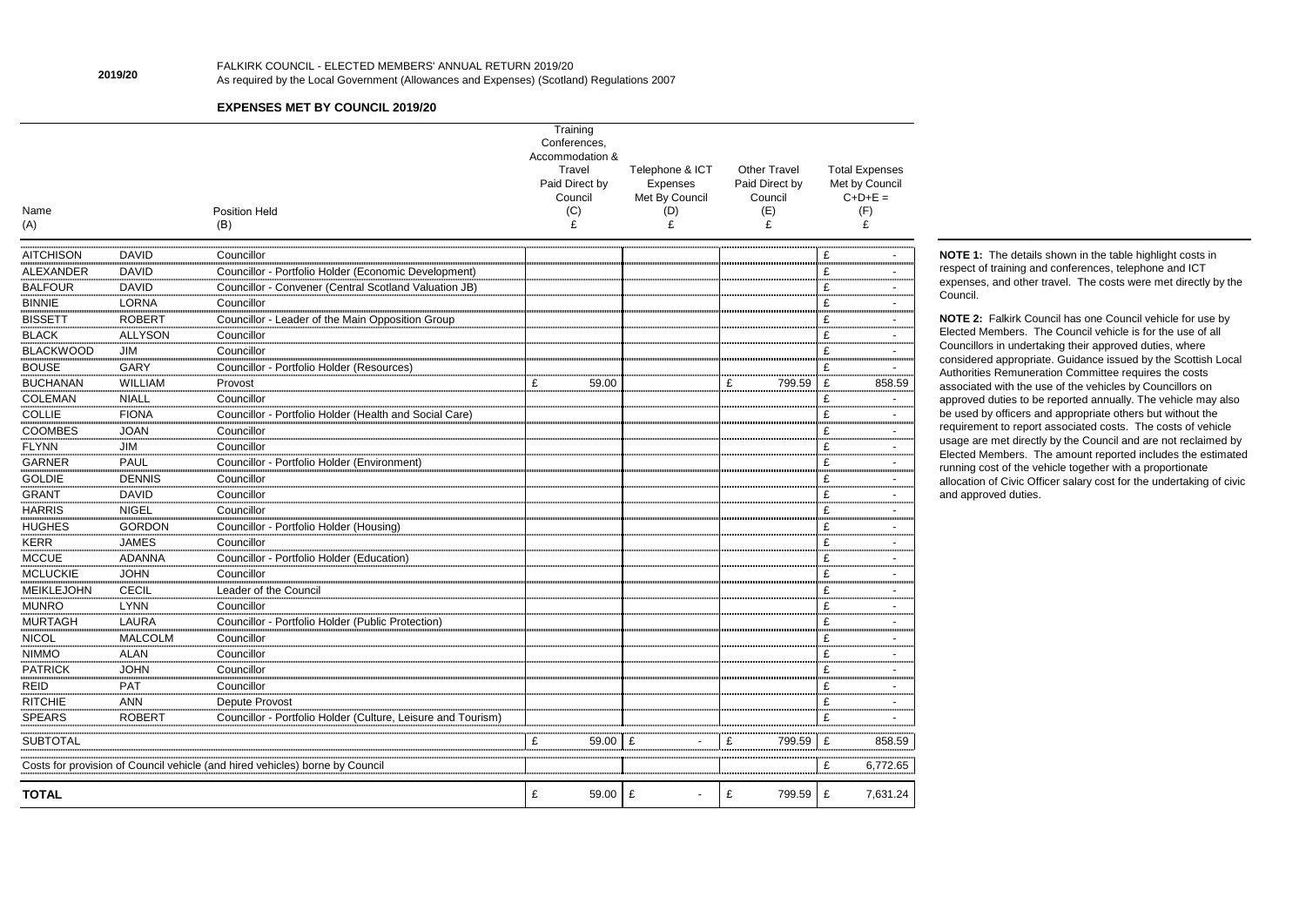| Name<br>(A)       |                | <b>Position Held</b><br>(B)                                                  | Training<br>Conferences,<br>Accommodation &<br>Travel<br>Paid Direct by<br>Council<br>(C)<br>£ | Telephone & ICT<br>Expenses<br>Met By Council<br>(D)<br>£ | <b>Other Travel</b><br>Paid Direct by<br>Council<br>(E)<br>£ | <b>Total Expenses</b><br>Met by Council<br>$C+D+E=$<br>(F)<br>£ |
|-------------------|----------------|------------------------------------------------------------------------------|------------------------------------------------------------------------------------------------|-----------------------------------------------------------|--------------------------------------------------------------|-----------------------------------------------------------------|
| <b>AITCHISON</b>  | <b>DAVID</b>   | Councillor                                                                   |                                                                                                |                                                           |                                                              | £                                                               |
| <b>ALEXANDER</b>  | <b>DAVID</b>   | Councillor - Portfolio Holder (Economic Development)                         |                                                                                                |                                                           |                                                              | £                                                               |
| <b>BALFOUR</b>    | <b>DAVID</b>   | Councillor - Convener (Central Scotland Valuation JB)                        |                                                                                                |                                                           |                                                              | £                                                               |
| <b>BINNIE</b>     | <b>LORNA</b>   | Councillor                                                                   |                                                                                                |                                                           |                                                              | £                                                               |
| <b>BISSETT</b>    | <b>ROBERT</b>  | Councillor - Leader of the Main Opposition Group                             |                                                                                                |                                                           |                                                              | £                                                               |
| <b>BLACK</b>      | <b>ALLYSON</b> | Councillor                                                                   |                                                                                                |                                                           |                                                              | £                                                               |
| <b>BLACKWOOD</b>  | JIM            | Councillor                                                                   |                                                                                                |                                                           |                                                              | £                                                               |
| <b>BOUSE</b>      | <b>GARY</b>    | Councillor - Portfolio Holder (Resources)                                    |                                                                                                |                                                           |                                                              | £                                                               |
| <b>BUCHANAN</b>   | <b>WILLIAM</b> | Provost                                                                      | £<br>59.00                                                                                     |                                                           | £<br>799.59                                                  | £<br>858.59                                                     |
| <b>COLEMAN</b>    | <b>NIALL</b>   | Councillor                                                                   |                                                                                                |                                                           |                                                              | £                                                               |
| <b>COLLIE</b>     | <b>FIONA</b>   | Councillor - Portfolio Holder (Health and Social Care)                       |                                                                                                |                                                           |                                                              | £                                                               |
| <b>COOMBES</b>    | <b>JOAN</b>    | Councillor                                                                   |                                                                                                |                                                           |                                                              | £                                                               |
| <b>FLYNN</b>      | JIM            | Councillor                                                                   |                                                                                                |                                                           |                                                              | £<br>$\blacksquare$                                             |
| <b>GARNER</b>     | <b>PAUL</b>    | Councillor - Portfolio Holder (Environment)                                  |                                                                                                |                                                           |                                                              | £                                                               |
| <b>GOLDIE</b>     | <b>DENNIS</b>  | Councillor                                                                   |                                                                                                |                                                           |                                                              | £                                                               |
| <b>GRANT</b>      | <b>DAVID</b>   | Councillor                                                                   |                                                                                                |                                                           |                                                              | £                                                               |
| <b>HARRIS</b>     | <b>NIGEL</b>   | Councillor                                                                   |                                                                                                |                                                           |                                                              | £                                                               |
| <b>HUGHES</b>     | <b>GORDON</b>  | Councillor - Portfolio Holder (Housing)                                      |                                                                                                |                                                           |                                                              | £<br>$\blacksquare$                                             |
| <b>KERR</b>       | <b>JAMES</b>   | Councillor                                                                   |                                                                                                |                                                           |                                                              | £                                                               |
| <b>MCCUE</b>      | <b>ADANNA</b>  | Councillor - Portfolio Holder (Education)                                    |                                                                                                |                                                           |                                                              | £                                                               |
| <b>MCLUCKIE</b>   | <b>JOHN</b>    | Councillor                                                                   |                                                                                                |                                                           |                                                              | £                                                               |
| <b>MEIKLEJOHN</b> | <b>CECIL</b>   | Leader of the Council                                                        |                                                                                                |                                                           |                                                              | £                                                               |
| <b>MUNRO</b>      | <b>LYNN</b>    | Councillor                                                                   |                                                                                                |                                                           |                                                              | £                                                               |
| <b>MURTAGH</b>    | <b>LAURA</b>   | Councillor - Portfolio Holder (Public Protection)                            |                                                                                                |                                                           |                                                              | £<br>$\blacksquare$                                             |
| <b>NICOL</b>      | <b>MALCOLM</b> | Councillor                                                                   |                                                                                                |                                                           |                                                              | £<br>٠                                                          |
| <b>NIMMO</b>      | <b>ALAN</b>    | Councillor                                                                   |                                                                                                |                                                           |                                                              | £                                                               |
| <b>PATRICK</b>    | <b>JOHN</b>    | Councillor                                                                   |                                                                                                |                                                           |                                                              | £                                                               |
| <b>REID</b>       | <b>PAT</b>     | Councillor                                                                   |                                                                                                |                                                           |                                                              | £                                                               |
| <b>RITCHIE</b>    | <b>ANN</b>     | Depute Provost                                                               |                                                                                                |                                                           |                                                              | £                                                               |
| <b>SPEARS</b>     | <b>ROBERT</b>  | Councillor - Portfolio Holder (Culture, Leisure and Tourism)                 |                                                                                                |                                                           |                                                              | £                                                               |
| <b>SUBTOTAL</b>   |                |                                                                              | 59.00<br>£                                                                                     | £                                                         | 799.59<br>£                                                  | 858.59<br>£                                                     |
|                   |                | Costs for provision of Council vehicle (and hired vehicles) borne by Council |                                                                                                |                                                           |                                                              | 6,772.65<br>£                                                   |
| <b>TOTAL</b>      |                |                                                                              | £<br>59.00                                                                                     | $\pounds$<br>$\overline{a}$                               | £<br>799.59                                                  | 7,631.24<br>£                                                   |

**NOTE 2:** Falkirk Council has one Council vehicle for use by Elected Members. The Council vehicle is for the use of all Councillors in undertaking their approved duties, where considered appropriate. Guidance issued by the Scottish Local Authorities Remuneration Committee requires the costs associated with the use of the vehicles by Councillors on approved duties to be reported annually. The vehicle may also be used by officers and appropriate others but without the requirement to report associated costs. The costs of vehicle usage are met directly by the Council and are not reclaimed by Elected Members. The amount reported includes the estimated running cost of the vehicle together with a proportionate allocation of Civic Officer salary cost for the undertaking of civic and approved duties.

**2019/20**

# FALKIRK COUNCIL - ELECTED MEMBERS' ANNUAL RETURN 2019/20 As required by the Local Government (Allowances and Expenses) (Scotland) Regulations 2007

## **EXPENSES MET BY COUNCIL 2019/20**

**NOTE 1:** The details shown in the table highlight costs in respect of training and conferences, telephone and ICT expenses, and other travel. The costs were met directly by the

Council.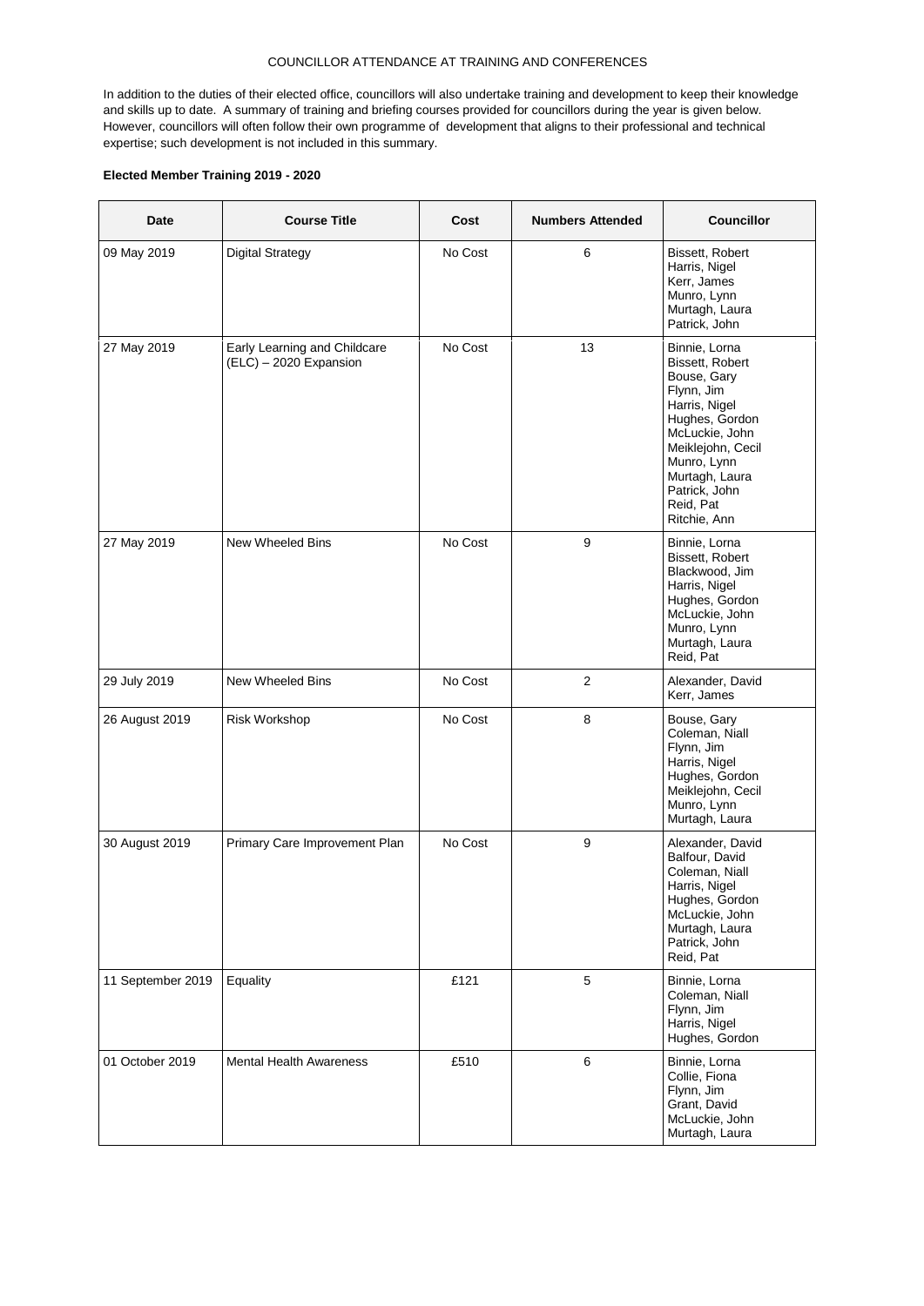## COUNCILLOR ATTENDANCE AT TRAINING AND CONFERENCES

In addition to the duties of their elected office, councillors will also undertake training and development to keep their knowledge and skills up to date. A summary of training and briefing courses provided for councillors during the year is given below. However, councillors will often follow their own programme of development that aligns to their professional and technical expertise; such development is not included in this summary.

### **Elected Member Training 2019 - 2020**

| <b>Date</b>       | <b>Course Title</b>                                    | Cost    | <b>Numbers Attended</b> | <b>Councillor</b>                                                                                                                                                                                                      |  |
|-------------------|--------------------------------------------------------|---------|-------------------------|------------------------------------------------------------------------------------------------------------------------------------------------------------------------------------------------------------------------|--|
| 09 May 2019       | <b>Digital Strategy</b>                                | No Cost | 6                       | Bissett, Robert<br>Harris, Nigel<br>Kerr, James<br>Munro, Lynn<br>Murtagh, Laura<br>Patrick, John                                                                                                                      |  |
| 27 May 2019       | Early Learning and Childcare<br>(ELC) - 2020 Expansion | No Cost | 13                      | Binnie, Lorna<br>Bissett, Robert<br>Bouse, Gary<br>Flynn, Jim<br>Harris, Nigel<br>Hughes, Gordon<br>McLuckie, John<br>Meiklejohn, Cecil<br>Munro, Lynn<br>Murtagh, Laura<br>Patrick, John<br>Reid, Pat<br>Ritchie, Ann |  |
| 27 May 2019       | New Wheeled Bins                                       | No Cost | 9                       | Binnie, Lorna<br>Bissett, Robert<br>Blackwood, Jim<br>Harris, Nigel<br>Hughes, Gordon<br>McLuckie, John<br>Munro, Lynn<br>Murtagh, Laura<br>Reid, Pat                                                                  |  |
| 29 July 2019      | New Wheeled Bins                                       | No Cost | 2                       | Alexander, David<br>Kerr, James                                                                                                                                                                                        |  |
| 26 August 2019    | Risk Workshop                                          | No Cost | 8                       | Bouse, Gary<br>Coleman, Niall<br>Flynn, Jim<br>Harris, Nigel<br>Hughes, Gordon<br>Meiklejohn, Cecil<br>Munro, Lynn<br>Murtagh, Laura                                                                                   |  |
| 30 August 2019    | Primary Care Improvement Plan                          | No Cost | 9                       | Alexander, David<br>Balfour, David<br>Coleman, Niall<br>Harris, Nigel<br>Hughes, Gordon<br>McLuckie, John<br>Murtagh, Laura<br>Patrick, John<br>Reid, Pat                                                              |  |
| 11 September 2019 | Equality                                               | £121    | 5                       | Binnie, Lorna<br>Coleman, Niall<br>Flynn, Jim<br>Harris, Nigel<br>Hughes, Gordon                                                                                                                                       |  |
| 01 October 2019   | <b>Mental Health Awareness</b>                         | £510    | 6                       | Binnie, Lorna<br>Collie, Fiona<br>Flynn, Jim<br>Grant, David<br>McLuckie, John<br>Murtagh, Laura                                                                                                                       |  |